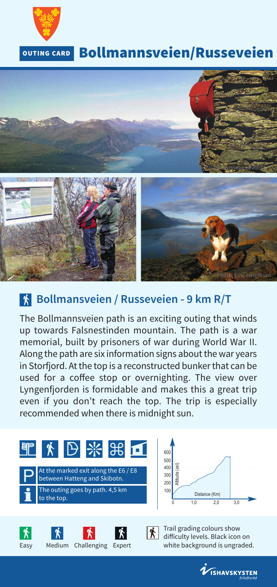

## **Bollmannsveien/Russeveien**



#### **Bollmansveien / Russeveien - 9 km R/T**

The Bollmannsveien path is an exciting outing that winds up towards Falsnestinden mountain. The path is a war memorial, built by prisoners of war during World War II. Along the path are six information signs about the war years in Storfjord. At the top is a reconstructed bunker that can be used for a coffee stop or overnighting. The view over Lyngenfjorden is formidable and makes this a great trip even if you don't reach the top. The trip is especially recommended when there is midnight sun.